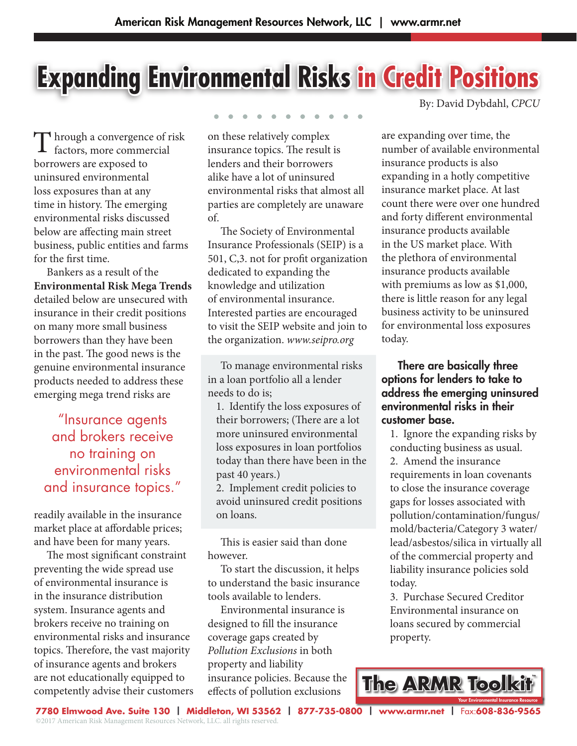# **Expanding Environmental Risks in Credit Positions**

T hrough a convergence of risk<br>factors, more commercial factors, more commercial borrowers are exposed to uninsured environmental loss exposures than at any time in history. The emerging environmental risks discussed below are affecting main street business, public entities and farms for the first time.

 Bankers as a result of the **Environmental Risk Mega Trends** detailed below are unsecured with insurance in their credit positions on many more small business borrowers than they have been in the past. The good news is the genuine environmental insurance products needed to address these emerging mega trend risks are

"Insurance agents and brokers receive no training on environmental risks and insurance topics."

readily available in the insurance market place at affordable prices; and have been for many years.

 The most significant constraint preventing the wide spread use of environmental insurance is in the insurance distribution system. Insurance agents and brokers receive no training on environmental risks and insurance topics. Therefore, the vast majority of insurance agents and brokers are not educationally equipped to competently advise their customers

on these relatively complex insurance topics. The result is lenders and their borrowers alike have a lot of uninsured environmental risks that almost all parties are completely are unaware of.

 The Society of Environmental Insurance Professionals (SEIP) is a 501, C,3. not for profit organization dedicated to expanding the knowledge and utilization of environmental insurance. Interested parties are encouraged to visit the SEIP website and join to the organization. *www.seipro.org*

 To manage environmental risks in a loan portfolio all a lender needs to do is;

1. Identify the loss exposures of their borrowers; (There are a lot more uninsured environmental loss exposures in loan portfolios today than there have been in the past 40 years.)

2. Implement credit policies to avoid uninsured credit positions on loans.

 This is easier said than done however.

 To start the discussion, it helps to understand the basic insurance tools available to lenders.

 Environmental insurance is designed to fill the insurance coverage gaps created by *Pollution Exclusions* in both property and liability insurance policies. Because the effects of pollution exclusions

By: David Dybdahl, *CPCU*

are expanding over time, the number of available environmental insurance products is also expanding in a hotly competitive insurance market place. At last count there were over one hundred and forty different environmental insurance products available in the US market place. With the plethora of environmental insurance products available with premiums as low as \$1,000, there is little reason for any legal business activity to be uninsured for environmental loss exposures today.

 There are basically three options for lenders to take to address the emerging uninsured environmental risks in their customer base.

1. Ignore the expanding risks by conducting business as usual. 2. Amend the insurance requirements in loan covenants to close the insurance coverage gaps for losses associated with pollution/contamination/fungus/ mold/bacteria/Category 3 water/ lead/asbestos/silica in virtually all of the commercial property and liability insurance policies sold today.

3. Purchase Secured Creditor Environmental insurance on loans secured by commercial property.



**7780 Elmwood Ave. Suite 130 | Middleton, WI 53562 | 877-735-0800 | www.armr.net |** Fax:**608-836-9565** ©2017 American Risk Management Resources Network, LLC. all rights reserved.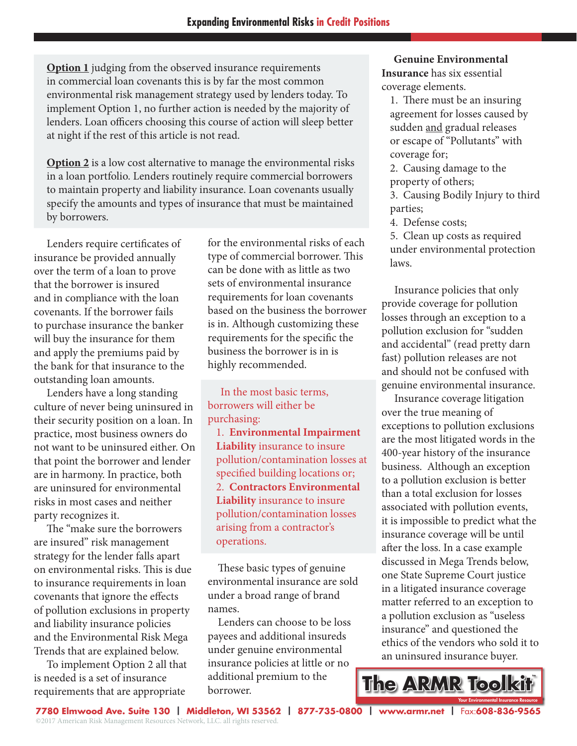**Option 1** judging from the observed insurance requirements in commercial loan covenants this is by far the most common environmental risk management strategy used by lenders today. To implement Option 1, no further action is needed by the majority of lenders. Loan officers choosing this course of action will sleep better at night if the rest of this article is not read.

**Option 2** is a low cost alternative to manage the environmental risks in a loan portfolio. Lenders routinely require commercial borrowers to maintain property and liability insurance. Loan covenants usually specify the amounts and types of insurance that must be maintained by borrowers.

 Lenders require certificates of insurance be provided annually over the term of a loan to prove that the borrower is insured and in compliance with the loan covenants. If the borrower fails to purchase insurance the banker will buy the insurance for them and apply the premiums paid by the bank for that insurance to the outstanding loan amounts.

 Lenders have a long standing culture of never being uninsured in their security position on a loan. In practice, most business owners do not want to be uninsured either. On that point the borrower and lender are in harmony. In practice, both are uninsured for environmental risks in most cases and neither party recognizes it.

 The "make sure the borrowers are insured" risk management strategy for the lender falls apart on environmental risks. This is due to insurance requirements in loan covenants that ignore the effects of pollution exclusions in property and liability insurance policies and the Environmental Risk Mega Trends that are explained below.

 To implement Option 2 all that is needed is a set of insurance requirements that are appropriate

for the environmental risks of each type of commercial borrower. This can be done with as little as two sets of environmental insurance requirements for loan covenants based on the business the borrower is in. Although customizing these requirements for the specific the business the borrower is in is highly recommended.

 In the most basic terms, borrowers will either be purchasing:

1. **Environmental Impairment Liability** insurance to insure pollution/contamination losses at specified building locations or; 2. **Contractors Environmental Liability** insurance to insure pollution/contamination losses arising from a contractor's operations.

 These basic types of genuine environmental insurance are sold under a broad range of brand names.

 Lenders can choose to be loss payees and additional insureds under genuine environmental insurance policies at little or no additional premium to the borrower.

 **Genuine Environmental Insurance** has six essential coverage elements.

1. There must be an insuring agreement for losses caused by sudden and gradual releases or escape of "Pollutants" with coverage for;

2. Causing damage to the property of others;

3. Causing Bodily Injury to third parties;

4. Defense costs;

5. Clean up costs as required under environmental protection laws.

 Insurance policies that only provide coverage for pollution losses through an exception to a pollution exclusion for "sudden and accidental" (read pretty darn fast) pollution releases are not and should not be confused with genuine environmental insurance.

 Insurance coverage litigation over the true meaning of exceptions to pollution exclusions are the most litigated words in the 400-year history of the insurance business. Although an exception to a pollution exclusion is better than a total exclusion for losses associated with pollution events, it is impossible to predict what the insurance coverage will be until after the loss. In a case example discussed in Mega Trends below, one State Supreme Court justice in a litigated insurance coverage matter referred to an exception to a pollution exclusion as "useless insurance" and questioned the ethics of the vendors who sold it to an uninsured insurance buyer.

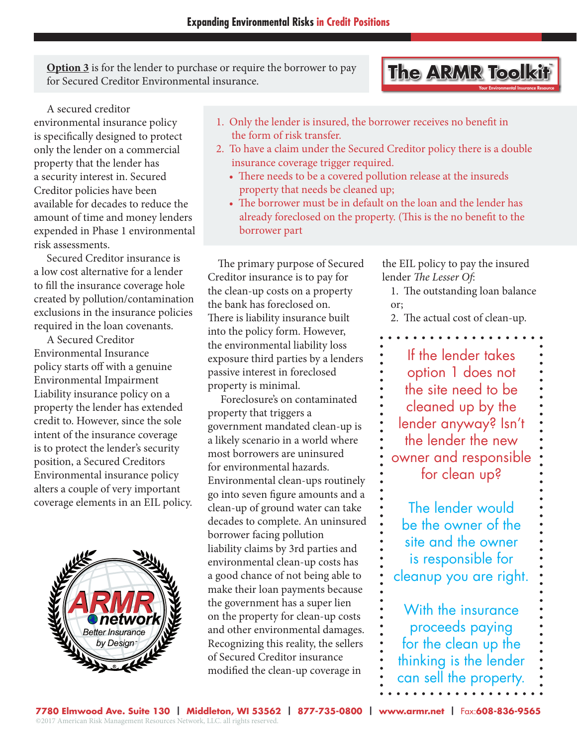**Option 3** is for the lender to purchase or require the borrower to pay for Secured Creditor Environmental insurance.

# **The ARMR Toolkit** Your Environmental Insurance Resource

 A secured creditor environmental insurance policy is specifically designed to protect only the lender on a commercial property that the lender has a security interest in. Secured Creditor policies have been available for decades to reduce the amount of time and money lenders expended in Phase 1 environmental risk assessments.

 Secured Creditor insurance is a low cost alternative for a lender to fill the insurance coverage hole created by pollution/contamination exclusions in the insurance policies required in the loan covenants.

 A Secured Creditor Environmental Insurance policy starts off with a genuine Environmental Impairment Liability insurance policy on a property the lender has extended credit to. However, since the sole intent of the insurance coverage is to protect the lender's security position, a Secured Creditors Environmental insurance policy alters a couple of very important coverage elements in an EIL policy.



- 1. Only the lender is insured, the borrower receives no benefit in the form of risk transfer.
- 2. To have a claim under the Secured Creditor policy there is a double insurance coverage trigger required.
	- There needs to be a covered pollution release at the insureds property that needs be cleaned up;
	- The borrower must be in default on the loan and the lender has already foreclosed on the property. (This is the no benefit to the borrower part

 The primary purpose of Secured Creditor insurance is to pay for the clean-up costs on a property the bank has foreclosed on. There is liability insurance built into the policy form. However, the environmental liability loss exposure third parties by a lenders passive interest in foreclosed property is minimal.

 Foreclosure's on contaminated property that triggers a government mandated clean-up is a likely scenario in a world where most borrowers are uninsured for environmental hazards. Environmental clean-ups routinely go into seven figure amounts and a clean-up of ground water can take decades to complete. An uninsured borrower facing pollution liability claims by 3rd parties and environmental clean-up costs has a good chance of not being able to make their loan payments because the government has a super lien on the property for clean-up costs and other environmental damages. Recognizing this reality, the sellers of Secured Creditor insurance modified the clean-up coverage in

the EIL policy to pay the insured lender *The Lesser Of*:

1. The outstanding loan balance or;

2. The actual cost of clean-up.

If the lender takes option 1 does not the site need to be cleaned up by the lender anyway? Isn't the lender the new owner and responsible for clean up?

The lender would be the owner of the site and the owner is responsible for cleanup you are right.

With the insurance proceeds paying for the clean up the thinking is the lender can sell the property.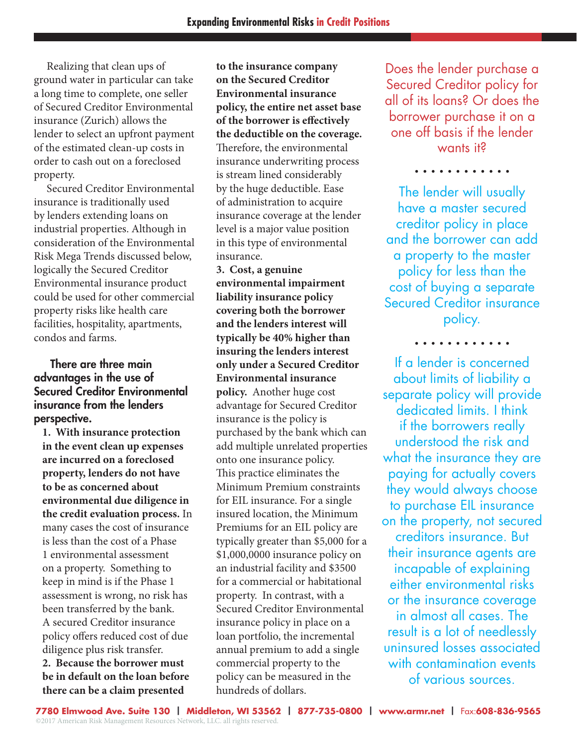Realizing that clean ups of ground water in particular can take a long time to complete, one seller of Secured Creditor Environmental insurance (Zurich) allows the lender to select an upfront payment of the estimated clean-up costs in order to cash out on a foreclosed property.

 Secured Creditor Environmental insurance is traditionally used by lenders extending loans on industrial properties. Although in consideration of the Environmental Risk Mega Trends discussed below, logically the Secured Creditor Environmental insurance product could be used for other commercial property risks like health care facilities, hospitality, apartments, condos and farms.

### There are three main advantages in the use of Secured Creditor Environmental insurance from the lenders perspective.

**1. With insurance protection in the event clean up expenses are incurred on a foreclosed property, lenders do not have to be as concerned about environmental due diligence in the credit evaluation process.** In many cases the cost of insurance is less than the cost of a Phase 1 environmental assessment on a property. Something to keep in mind is if the Phase 1 assessment is wrong, no risk has been transferred by the bank. A secured Creditor insurance policy offers reduced cost of due diligence plus risk transfer. **2. Because the borrower must be in default on the loan before there can be a claim presented** 

**to the insurance company on the Secured Creditor Environmental insurance policy, the entire net asset base of the borrower is effectively the deductible on the coverage.**  Therefore, the environmental insurance underwriting process is stream lined considerably by the huge deductible. Ease of administration to acquire insurance coverage at the lender level is a major value position in this type of environmental insurance.

**3. Cost, a genuine environmental impairment liability insurance policy covering both the borrower and the lenders interest will typically be 40% higher than insuring the lenders interest only under a Secured Creditor Environmental insurance policy.** Another huge cost advantage for Secured Creditor insurance is the policy is purchased by the bank which can add multiple unrelated properties onto one insurance policy. This practice eliminates the Minimum Premium constraints for EIL insurance. For a single insured location, the Minimum Premiums for an EIL policy are typically greater than \$5,000 for a \$1,000,0000 insurance policy on an industrial facility and \$3500 for a commercial or habitational property. In contrast, with a Secured Creditor Environmental insurance policy in place on a loan portfolio, the incremental annual premium to add a single commercial property to the policy can be measured in the hundreds of dollars.

Does the lender purchase a Secured Creditor policy for all of its loans? Or does the borrower purchase it on a one off basis if the lender wants it?

. . . . . . . . . . . .

The lender will usually have a master secured creditor policy in place and the borrower can add a property to the master policy for less than the cost of buying a separate Secured Creditor insurance policy.

. . . . . . . . . . .

If a lender is concerned about limits of liability a separate policy will provide dedicated limits. I think if the borrowers really understood the risk and what the insurance they are paying for actually covers they would always choose to purchase EIL insurance on the property, not secured creditors insurance. But their insurance agents are incapable of explaining either environmental risks or the insurance coverage in almost all cases. The result is a lot of needlessly uninsured losses associated with contamination events of various sources.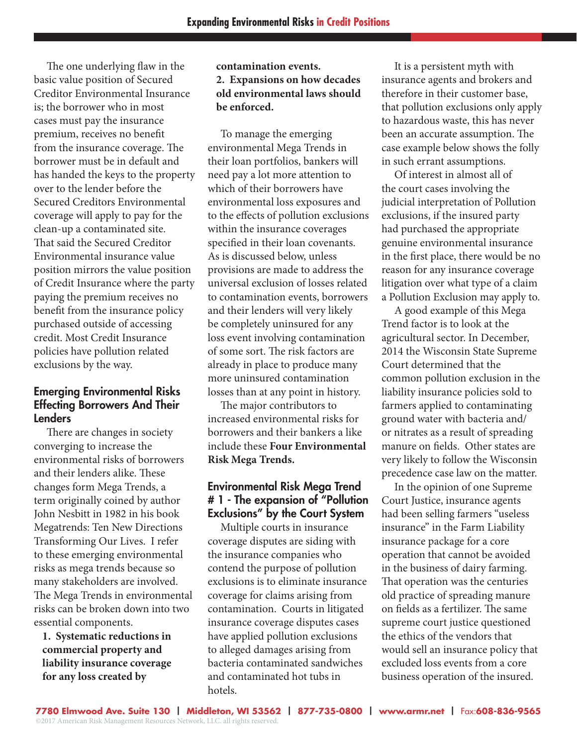The one underlying flaw in the basic value position of Secured Creditor Environmental Insurance is; the borrower who in most cases must pay the insurance premium, receives no benefit from the insurance coverage. The borrower must be in default and has handed the keys to the property over to the lender before the Secured Creditors Environmental coverage will apply to pay for the clean-up a contaminated site. That said the Secured Creditor Environmental insurance value position mirrors the value position of Credit Insurance where the party paying the premium receives no benefit from the insurance policy purchased outside of accessing credit. Most Credit Insurance policies have pollution related exclusions by the way.

#### Emerging Environmental Risks Effecting Borrowers And Their Lenders

 There are changes in society converging to increase the environmental risks of borrowers and their lenders alike. These changes form Mega Trends, a term originally coined by author John Nesbitt in 1982 in his book Megatrends: Ten New Directions Transforming Our Lives. I refer to these emerging environmental risks as mega trends because so many stakeholders are involved. The Mega Trends in environmental risks can be broken down into two essential components.

**1. Systematic reductions in commercial property and liability insurance coverage for any loss created by** 

#### **contamination events. 2. Expansions on how decades old environmental laws should be enforced.**

 To manage the emerging environmental Mega Trends in their loan portfolios, bankers will need pay a lot more attention to which of their borrowers have environmental loss exposures and to the effects of pollution exclusions within the insurance coverages specified in their loan covenants. As is discussed below, unless provisions are made to address the universal exclusion of losses related to contamination events, borrowers and their lenders will very likely be completely uninsured for any loss event involving contamination of some sort. The risk factors are already in place to produce many more uninsured contamination losses than at any point in history.

 The major contributors to increased environmental risks for borrowers and their bankers a like include these **Four Environmental Risk Mega Trends.**

## Environmental Risk Mega Trend # 1 - The expansion of "Pollution Exclusions" by the Court System

 Multiple courts in insurance coverage disputes are siding with the insurance companies who contend the purpose of pollution exclusions is to eliminate insurance coverage for claims arising from contamination. Courts in litigated insurance coverage disputes cases have applied pollution exclusions to alleged damages arising from bacteria contaminated sandwiches and contaminated hot tubs in hotels.

 It is a persistent myth with insurance agents and brokers and therefore in their customer base, that pollution exclusions only apply to hazardous waste, this has never been an accurate assumption. The case example below shows the folly in such errant assumptions.

 Of interest in almost all of the court cases involving the judicial interpretation of Pollution exclusions, if the insured party had purchased the appropriate genuine environmental insurance in the first place, there would be no reason for any insurance coverage litigation over what type of a claim a Pollution Exclusion may apply to.

 A good example of this Mega Trend factor is to look at the agricultural sector. In December, 2014 the Wisconsin State Supreme Court determined that the common pollution exclusion in the liability insurance policies sold to farmers applied to contaminating ground water with bacteria and/ or nitrates as a result of spreading manure on fields. Other states are very likely to follow the Wisconsin precedence case law on the matter.

 In the opinion of one Supreme Court Justice, insurance agents had been selling farmers "useless insurance" in the Farm Liability insurance package for a core operation that cannot be avoided in the business of dairy farming. That operation was the centuries old practice of spreading manure on fields as a fertilizer. The same supreme court justice questioned the ethics of the vendors that would sell an insurance policy that excluded loss events from a core business operation of the insured.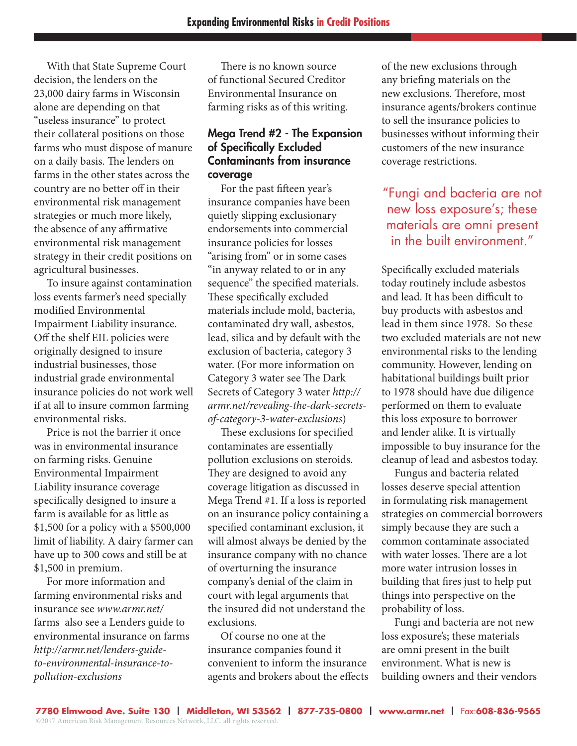With that State Supreme Court decision, the lenders on the 23,000 dairy farms in Wisconsin alone are depending on that "useless insurance" to protect their collateral positions on those farms who must dispose of manure on a daily basis. The lenders on farms in the other states across the country are no better off in their environmental risk management strategies or much more likely, the absence of any affirmative environmental risk management strategy in their credit positions on agricultural businesses.

 To insure against contamination loss events farmer's need specially modified Environmental Impairment Liability insurance. Off the shelf EIL policies were originally designed to insure industrial businesses, those industrial grade environmental insurance policies do not work well if at all to insure common farming environmental risks.

 Price is not the barrier it once was in environmental insurance on farming risks. Genuine Environmental Impairment Liability insurance coverage specifically designed to insure a farm is available for as little as \$1,500 for a policy with a \$500,000 limit of liability. A dairy farmer can have up to 300 cows and still be at \$1,500 in premium.

 For more information and farming environmental risks and insurance see *www.armr.net/* farms also see a Lenders guide to environmental insurance on farms *http://armr.net/lenders-guideto-environmental-insurance-topollution-exclusions*

 There is no known source of functional Secured Creditor Environmental Insurance on farming risks as of this writing.

#### Mega Trend #2 - The Expansion of Specifically Excluded Contaminants from insurance coverage

 For the past fifteen year's insurance companies have been quietly slipping exclusionary endorsements into commercial insurance policies for losses "arising from" or in some cases "in anyway related to or in any sequence" the specified materials. These specifically excluded materials include mold, bacteria, contaminated dry wall, asbestos, lead, silica and by default with the exclusion of bacteria, category 3 water. (For more information on Category 3 water see The Dark Secrets of Category 3 water *http:// armr.net/revealing-the-dark-secretsof-category-3-water-exclusions*)

 These exclusions for specified contaminates are essentially pollution exclusions on steroids. They are designed to avoid any coverage litigation as discussed in Mega Trend #1. If a loss is reported on an insurance policy containing a specified contaminant exclusion, it will almost always be denied by the insurance company with no chance of overturning the insurance company's denial of the claim in court with legal arguments that the insured did not understand the exclusions.

 Of course no one at the insurance companies found it convenient to inform the insurance agents and brokers about the effects

of the new exclusions through any briefing materials on the new exclusions. Therefore, most insurance agents/brokers continue to sell the insurance policies to businesses without informing their customers of the new insurance coverage restrictions.

# "Fungi and bacteria are not new loss exposure's; these materials are omni present in the built environment."

Specifically excluded materials today routinely include asbestos and lead. It has been difficult to buy products with asbestos and lead in them since 1978. So these two excluded materials are not new environmental risks to the lending community. However, lending on habitational buildings built prior to 1978 should have due diligence performed on them to evaluate this loss exposure to borrower and lender alike. It is virtually impossible to buy insurance for the cleanup of lead and asbestos today.

 Fungus and bacteria related losses deserve special attention in formulating risk management strategies on commercial borrowers simply because they are such a common contaminate associated with water losses. There are a lot more water intrusion losses in building that fires just to help put things into perspective on the probability of loss.

 Fungi and bacteria are not new loss exposure's; these materials are omni present in the built environment. What is new is building owners and their vendors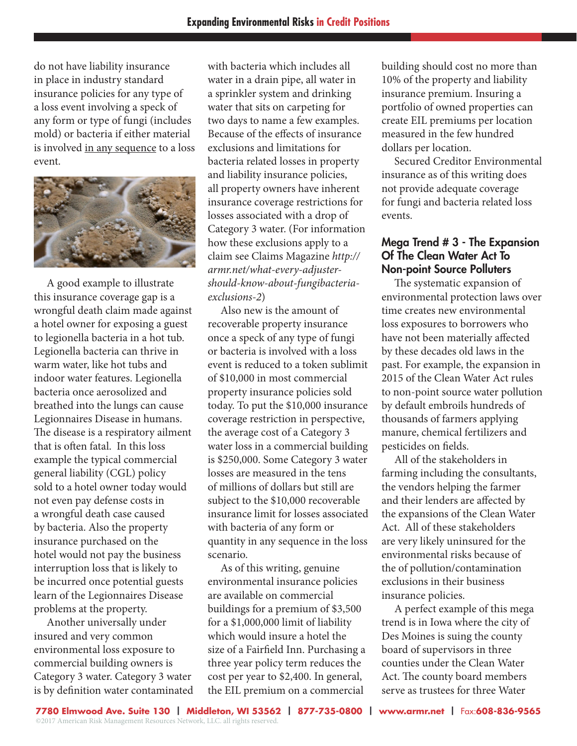do not have liability insurance in place in industry standard insurance policies for any type of a loss event involving a speck of any form or type of fungi (includes mold) or bacteria if either material is involved in any sequence to a loss event.



 A good example to illustrate this insurance coverage gap is a wrongful death claim made against a hotel owner for exposing a guest to legionella bacteria in a hot tub. Legionella bacteria can thrive in warm water, like hot tubs and indoor water features. Legionella bacteria once aerosolized and breathed into the lungs can cause Legionnaires Disease in humans. The disease is a respiratory ailment that is often fatal. In this loss example the typical commercial general liability (CGL) policy sold to a hotel owner today would not even pay defense costs in a wrongful death case caused by bacteria. Also the property insurance purchased on the hotel would not pay the business interruption loss that is likely to be incurred once potential guests learn of the Legionnaires Disease problems at the property.

 Another universally under insured and very common environmental loss exposure to commercial building owners is Category 3 water. Category 3 water is by definition water contaminated with bacteria which includes all water in a drain pipe, all water in a sprinkler system and drinking water that sits on carpeting for two days to name a few examples. Because of the effects of insurance exclusions and limitations for bacteria related losses in property and liability insurance policies, all property owners have inherent insurance coverage restrictions for losses associated with a drop of Category 3 water. (For information how these exclusions apply to a claim see Claims Magazine *http:// armr.net/what-every-adjustershould-know-about-fungibacteriaexclusions-2*)

 Also new is the amount of recoverable property insurance once a speck of any type of fungi or bacteria is involved with a loss event is reduced to a token sublimit of \$10,000 in most commercial property insurance policies sold today. To put the \$10,000 insurance coverage restriction in perspective, the average cost of a Category 3 water loss in a commercial building is \$250,000. Some Category 3 water losses are measured in the tens of millions of dollars but still are subject to the \$10,000 recoverable insurance limit for losses associated with bacteria of any form or quantity in any sequence in the loss scenario.

 As of this writing, genuine environmental insurance policies are available on commercial buildings for a premium of \$3,500 for a \$1,000,000 limit of liability which would insure a hotel the size of a Fairfield Inn. Purchasing a three year policy term reduces the cost per year to \$2,400. In general, the EIL premium on a commercial

building should cost no more than 10% of the property and liability insurance premium. Insuring a portfolio of owned properties can create EIL premiums per location measured in the few hundred dollars per location.

 Secured Creditor Environmental insurance as of this writing does not provide adequate coverage for fungi and bacteria related loss events.

#### Mega Trend # 3 - The Expansion Of The Clean Water Act To Non-point Source Polluters

 The systematic expansion of environmental protection laws over time creates new environmental loss exposures to borrowers who have not been materially affected by these decades old laws in the past. For example, the expansion in 2015 of the Clean Water Act rules to non-point source water pollution by default embroils hundreds of thousands of farmers applying manure, chemical fertilizers and pesticides on fields.

 All of the stakeholders in farming including the consultants, the vendors helping the farmer and their lenders are affected by the expansions of the Clean Water Act. All of these stakeholders are very likely uninsured for the environmental risks because of the of pollution/contamination exclusions in their business insurance policies.

 A perfect example of this mega trend is in Iowa where the city of Des Moines is suing the county board of supervisors in three counties under the Clean Water Act. The county board members serve as trustees for three Water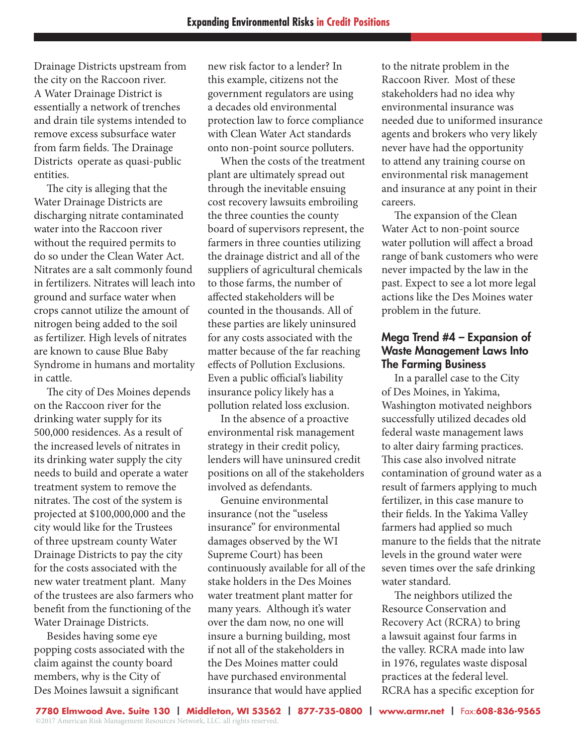Drainage Districts upstream from the city on the Raccoon river. A Water Drainage District is essentially a network of trenches and drain tile systems intended to remove excess subsurface water from farm fields. The Drainage Districts operate as quasi-public entities.

 The city is alleging that the Water Drainage Districts are discharging nitrate contaminated water into the Raccoon river without the required permits to do so under the Clean Water Act. Nitrates are a salt commonly found in fertilizers. Nitrates will leach into ground and surface water when crops cannot utilize the amount of nitrogen being added to the soil as fertilizer. High levels of nitrates are known to cause Blue Baby Syndrome in humans and mortality in cattle.

 The city of Des Moines depends on the Raccoon river for the drinking water supply for its 500,000 residences. As a result of the increased levels of nitrates in its drinking water supply the city needs to build and operate a water treatment system to remove the nitrates. The cost of the system is projected at \$100,000,000 and the city would like for the Trustees of three upstream county Water Drainage Districts to pay the city for the costs associated with the new water treatment plant. Many of the trustees are also farmers who benefit from the functioning of the Water Drainage Districts.

 Besides having some eye popping costs associated with the claim against the county board members, why is the City of Des Moines lawsuit a significant

new risk factor to a lender? In this example, citizens not the government regulators are using a decades old environmental protection law to force compliance with Clean Water Act standards onto non-point source polluters.

 When the costs of the treatment plant are ultimately spread out through the inevitable ensuing cost recovery lawsuits embroiling the three counties the county board of supervisors represent, the farmers in three counties utilizing the drainage district and all of the suppliers of agricultural chemicals to those farms, the number of affected stakeholders will be counted in the thousands. All of these parties are likely uninsured for any costs associated with the matter because of the far reaching effects of Pollution Exclusions. Even a public official's liability insurance policy likely has a pollution related loss exclusion.

 In the absence of a proactive environmental risk management strategy in their credit policy, lenders will have uninsured credit positions on all of the stakeholders involved as defendants.

 Genuine environmental insurance (not the "useless insurance" for environmental damages observed by the WI Supreme Court) has been continuously available for all of the stake holders in the Des Moines water treatment plant matter for many years. Although it's water over the dam now, no one will insure a burning building, most if not all of the stakeholders in the Des Moines matter could have purchased environmental insurance that would have applied

to the nitrate problem in the Raccoon River. Most of these stakeholders had no idea why environmental insurance was needed due to uniformed insurance agents and brokers who very likely never have had the opportunity to attend any training course on environmental risk management and insurance at any point in their careers.

 The expansion of the Clean Water Act to non-point source water pollution will affect a broad range of bank customers who were never impacted by the law in the past. Expect to see a lot more legal actions like the Des Moines water problem in the future.

#### Mega Trend #4 – Expansion of Waste Management Laws Into The Farming Business

 In a parallel case to the City of Des Moines, in Yakima, Washington motivated neighbors successfully utilized decades old federal waste management laws to alter dairy farming practices. This case also involved nitrate contamination of ground water as a result of farmers applying to much fertilizer, in this case manure to their fields. In the Yakima Valley farmers had applied so much manure to the fields that the nitrate levels in the ground water were seven times over the safe drinking water standard.

 The neighbors utilized the Resource Conservation and Recovery Act (RCRA) to bring a lawsuit against four farms in the valley. RCRA made into law in 1976, regulates waste disposal practices at the federal level. RCRA has a specific exception for